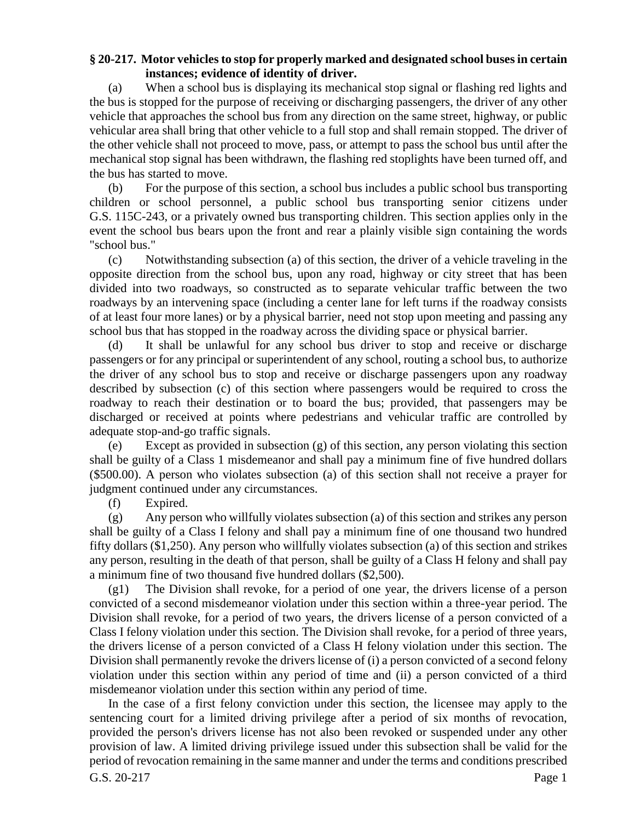## **§ 20-217. Motor vehicles to stop for properly marked and designated school buses in certain instances; evidence of identity of driver.**

(a) When a school bus is displaying its mechanical stop signal or flashing red lights and the bus is stopped for the purpose of receiving or discharging passengers, the driver of any other vehicle that approaches the school bus from any direction on the same street, highway, or public vehicular area shall bring that other vehicle to a full stop and shall remain stopped. The driver of the other vehicle shall not proceed to move, pass, or attempt to pass the school bus until after the mechanical stop signal has been withdrawn, the flashing red stoplights have been turned off, and the bus has started to move.

(b) For the purpose of this section, a school bus includes a public school bus transporting children or school personnel, a public school bus transporting senior citizens under G.S. 115C-243, or a privately owned bus transporting children. This section applies only in the event the school bus bears upon the front and rear a plainly visible sign containing the words "school bus."

(c) Notwithstanding subsection (a) of this section, the driver of a vehicle traveling in the opposite direction from the school bus, upon any road, highway or city street that has been divided into two roadways, so constructed as to separate vehicular traffic between the two roadways by an intervening space (including a center lane for left turns if the roadway consists of at least four more lanes) or by a physical barrier, need not stop upon meeting and passing any school bus that has stopped in the roadway across the dividing space or physical barrier.

(d) It shall be unlawful for any school bus driver to stop and receive or discharge passengers or for any principal or superintendent of any school, routing a school bus, to authorize the driver of any school bus to stop and receive or discharge passengers upon any roadway described by subsection (c) of this section where passengers would be required to cross the roadway to reach their destination or to board the bus; provided, that passengers may be discharged or received at points where pedestrians and vehicular traffic are controlled by adequate stop-and-go traffic signals.

(e) Except as provided in subsection (g) of this section, any person violating this section shall be guilty of a Class 1 misdemeanor and shall pay a minimum fine of five hundred dollars (\$500.00). A person who violates subsection (a) of this section shall not receive a prayer for judgment continued under any circumstances.

(f) Expired.

(g) Any person who willfully violates subsection (a) of this section and strikes any person shall be guilty of a Class I felony and shall pay a minimum fine of one thousand two hundred fifty dollars (\$1,250). Any person who willfully violates subsection (a) of this section and strikes any person, resulting in the death of that person, shall be guilty of a Class H felony and shall pay a minimum fine of two thousand five hundred dollars (\$2,500).

(g1) The Division shall revoke, for a period of one year, the drivers license of a person convicted of a second misdemeanor violation under this section within a three-year period. The Division shall revoke, for a period of two years, the drivers license of a person convicted of a Class I felony violation under this section. The Division shall revoke, for a period of three years, the drivers license of a person convicted of a Class H felony violation under this section. The Division shall permanently revoke the drivers license of (i) a person convicted of a second felony violation under this section within any period of time and (ii) a person convicted of a third misdemeanor violation under this section within any period of time.

G.S. 20-217 Page 1 In the case of a first felony conviction under this section, the licensee may apply to the sentencing court for a limited driving privilege after a period of six months of revocation, provided the person's drivers license has not also been revoked or suspended under any other provision of law. A limited driving privilege issued under this subsection shall be valid for the period of revocation remaining in the same manner and under the terms and conditions prescribed